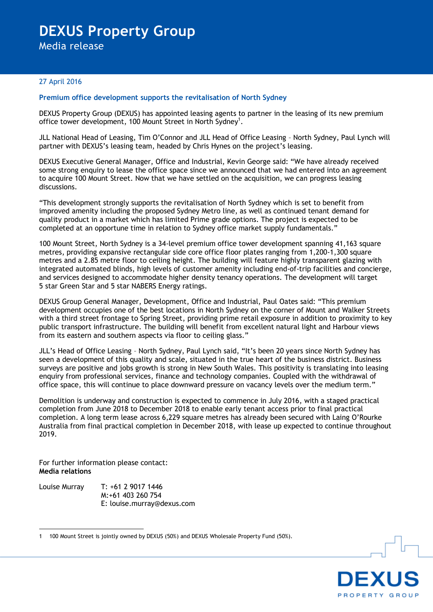## **DEXUS Property Group**

Media release

## 27 April 2016

## **Premium office development supports the revitalisation of North Sydney**

DEXUS Property Group (DEXUS) has appointed leasing agents to partner in the leasing of its new premium office tower development, 100 Mount Street in North Sydney<sup>1</sup>.

JLL National Head of Leasing, Tim O'Connor and JLL Head of Office Leasing – North Sydney, Paul Lynch will partner with DEXUS's leasing team, headed by Chris Hynes on the project's leasing.

DEXUS Executive General Manager, Office and Industrial, Kevin George said: "We have already received some strong enquiry to lease the office space since we announced that we had entered into an agreement to acquire 100 Mount Street. Now that we have settled on the acquisition, we can progress leasing discussions.

"This development strongly supports the revitalisation of North Sydney which is set to benefit from improved amenity including the proposed Sydney Metro line, as well as continued tenant demand for quality product in a market which has limited Prime grade options. The project is expected to be completed at an opportune time in relation to Sydney office market supply fundamentals."

100 Mount Street, North Sydney is a 34-level premium office tower development spanning 41,163 square metres, providing expansive rectangular side core office floor plates ranging from 1,200-1,300 square metres and a 2.85 metre floor to ceiling height. The building will feature highly transparent glazing with integrated automated blinds, high levels of customer amenity including end-of-trip facilities and concierge, and services designed to accommodate higher density tenancy operations. The development will target 5 star Green Star and 5 star NABERS Energy ratings.

DEXUS Group General Manager, Development, Office and Industrial, Paul Oates said: "This premium development occupies one of the best locations in North Sydney on the corner of Mount and Walker Streets with a third street frontage to Spring Street, providing prime retail exposure in addition to proximity to key public transport infrastructure. The building will benefit from excellent natural light and Harbour views from its eastern and southern aspects via floor to ceiling glass."

JLL's Head of Office Leasing – North Sydney, Paul Lynch said, "It's been 20 years since North Sydney has seen a development of this quality and scale, situated in the true heart of the business district. Business surveys are positive and jobs growth is strong in New South Wales. This positivity is translating into leasing enquiry from professional services, finance and technology companies. Coupled with the withdrawal of office space, this will continue to place downward pressure on vacancy levels over the medium term."

Demolition is underway and construction is expected to commence in July 2016, with a staged practical completion from June 2018 to December 2018 to enable early tenant access prior to final practical completion. A long term lease across 6,229 square metres has already been secured with Laing O'Rourke Australia from final practical completion in December 2018, with lease up expected to continue throughout 2019.

For further information please contact: **Media relations**

Louise Murray T: +61 2 9017 1446 M:+61 403 260 754 E: louise.murray@dexus.com



 $\overline{a}$ 1 100 Mount Street is jointly owned by DEXUS (50%) and DEXUS Wholesale Property Fund (50%).